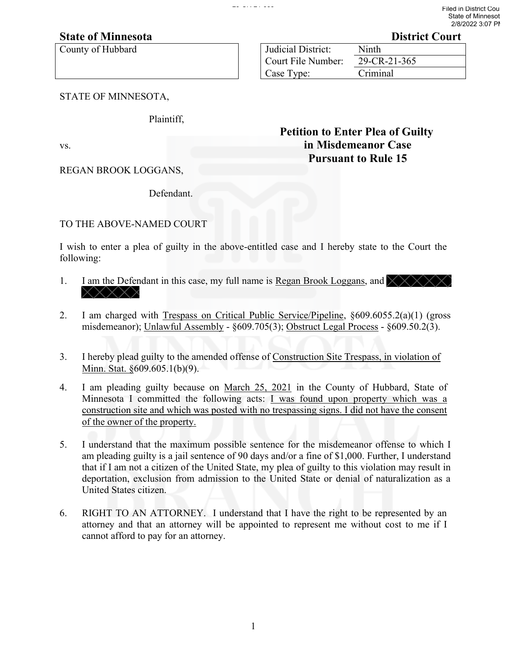## **State of Minnesota District Court**

County of Hubbard

| <b>Judicial District:</b> | Ninth        |
|---------------------------|--------------|
| Court File Number:        | 29-CR-21-365 |
| Case Type:                | Criminal     |

 **Petition to Enter Plea of Guilty**

**Pursuant to Rule 15**

STATE OF MINNESOTA,

Plaintiff,

vs. **in Misdemeanor Case**

REGAN BROOK LOGGANS,

Defendant.

## TO THE ABOVE-NAMED COURT

I wish to enter a plea of guilty in the above-entitled case and I hereby state to the Court the following:

- 1. I am the Defendant in this case, my full name is Regan Brook Loggans, and  $\chi \chi \chi \chi \chi$ **XXXXX**
- 2. I am charged with Trespass on Critical Public Service/Pipeline, §609.6055.2(a)(1) (gross misdemeanor); Unlawful Assembly - §609.705(3); Obstruct Legal Process - §609.50.2(3).
- 3. I hereby plead guilty to the amended offense of Construction Site Trespass, in violation of Minn. Stat. §609.605.1(b)(9).
- 4. I am pleading guilty because on March 25, 2021 in the County of Hubbard, State of Minnesota I committed the following acts: I was found upon property which was a construction site and which was posted with no trespassing signs. I did not have the consent of the owner of the property.
- 5. I understand that the maximum possible sentence for the misdemeanor offense to which I am pleading guilty is a jail sentence of 90 days and/or a fine of \$1,000. Further, I understand that if I am not a citizen of the United State, my plea of guilty to this violation may result in deportation, exclusion from admission to the United State or denial of naturalization as a United States citizen.
- 6. RIGHT TO AN ATTORNEY. I understand that I have the right to be represented by an attorney and that an attorney will be appointed to represent me without cost to me if I cannot afford to pay for an attorney.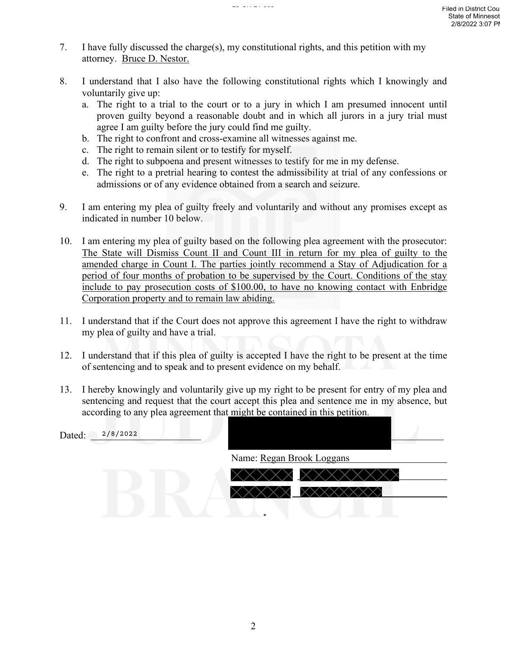- 7. I have fully discussed the charge(s), my constitutional rights, and this petition with my attorney. Bruce D. Nestor.
- 8. I understand that I also have the following constitutional rights which I knowingly and voluntarily give up:
	- a. The right to a trial to the court or to a jury in which I am presumed innocent until proven guilty beyond a reasonable doubt and in which all jurors in a jury trial must agree I am guilty before the jury could find me guilty.
	- b. The right to confront and cross-examine all witnesses against me.
	- c. The right to remain silent or to testify for myself.
	- d. The right to subpoena and present witnesses to testify for me in my defense.
	- e. The right to a pretrial hearing to contest the admissibility at trial of any confessions or admissions or of any evidence obtained from a search and seizure.
- 9. I am entering my plea of guilty freely and voluntarily and without any promises except as indicated in number 10 below.
- 10. I am entering my plea of guilty based on the following plea agreement with the prosecutor: The State will Dismiss Count II and Count III in return for my plea of guilty to the amended charge in Count I. The parties jointly recommend a Stay of Adjudication for a period of four months of probation to be supervised by the Court. Conditions of the stay include to pay prosecution costs of \$100.00, to have no knowing contact with Enbridge Corporation property and to remain law abiding.
- 11. I understand that if the Court does not approve this agreement I have the right to withdraw my plea of guilty and have a trial.
- 12. I understand that if this plea of guilty is accepted I have the right to be present at the time of sentencing and to speak and to present evidence on my behalf.
- 13. I hereby knowingly and voluntarily give up my right to be present for entry of my plea and sentencing and request that the court accept this plea and sentence me in my absence, but according to any plea agreement that might be contained in this petition.

| 2/8/2022<br>Dated: |                           |
|--------------------|---------------------------|
|                    | Name: Regan Brook Loggans |
|                    | X X X i<br>Y.             |
|                    |                           |
|                    |                           |